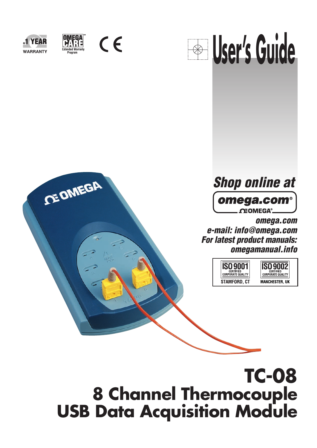



**CE OMEGA** 

 $C \in$ 



# **Shop online at**omega.com<sup>®</sup> **OEOMEGA®**

**omega.com e-mail: info@omega.com For latest product manuals: omegamanual.info**



# **TC-08 8 Channel Thermocouple USB Data Acquisition Module**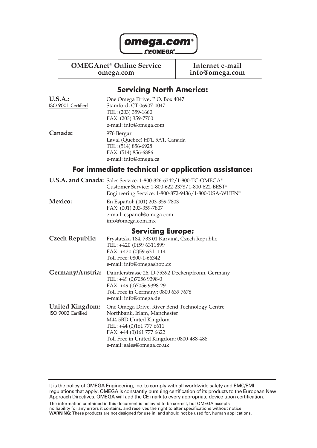

**OMEGAnet<sup>®</sup> Online Service later internet e-mail<br>info@omega.com info@omega.com** 

**omega.com info@omega.com**

### **Servicing North America:**

| <b>U.S.A.:</b><br><b>ISO 9001 Certified</b> | One Omega Drive, P.O. Box 4047<br>Stamford, CT 06907-0047<br>TEL: (203) 359-1660<br>FAX: (203) 359-7700<br>e-mail: info@omega.com                                                       |
|---------------------------------------------|-----------------------------------------------------------------------------------------------------------------------------------------------------------------------------------------|
| Canada:                                     | 976 Bergar<br>Laval (Quebec) H7L 5A1, Canada<br>TEL: (514) 856-6928<br>FAX: (514) 856-6886<br>e-mail: info@omega.ca                                                                     |
|                                             | For immediate technical or application assistance:                                                                                                                                      |
|                                             | U.S.A. and Canada: Sales Service: 1-800-826-6342/1-800-TC-OMEGA®<br>Customer Service: 1-800-622-2378/1-800-622-BEST®<br>Engineering Service: 1-800-872-9436/1-800-USA-WHEN <sup>®</sup> |
| <b>Mexico:</b>                              | En Español: (001) 203-359-7803<br>FAX: (001) 203-359-7807<br>e-mail: espanol@omega.com<br>info@omega.com.mx                                                                             |
|                                             | <b>Servicing Europe:</b>                                                                                                                                                                |
| <b>Czech Republic:</b>                      | Frystatska 184, 733 01 Karviná, Czech Republic<br>TEL: +420 (0)59 6311899<br>FAX: +420 (0)59 6311114<br>Toll Free: 0800-1-66342<br>e-mail: info@omegashop.cz                            |
| Germany/Austria:                            | Daimlerstrasse 26, D-75392 Deckenpfronn, Germany                                                                                                                                        |

TEL: +49 (0)7056 9398-0 FAX: +49 (0)7056 9398-29 Toll Free in Germany: 0800 639 7678 e-mail: info@omega.de **United Kingdom:** One Omega Drive, River Bend Technology Centre<br>
ISO 9002 Certified Northbank, Irlam, Manchester

Northbank, Irlam, Manchester M44 5BD United Kingdom TEL: +44 (0)161 777 6611 FAX: +44 (0)161 777 6622 Toll Free in United Kingdom: 0800-488-488 e-mail: sales@omega.co.uk

It is the policy of OMEGA Engineering, Inc. to comply with all worldwide safety and EMC/EMI regulations that apply. OMEGA is constantly pursuing certification of its products to the European New Approach Directives. OMEGA will add the CE mark to every appropriate device upon certification.

The information contained in this document is believed to be correct, but OMEGA accepts no liability for any errors it contains, and reserves the right to alter specifications without notice. **WARNING:** These products are not designed for use in, and should not be used for, human applications.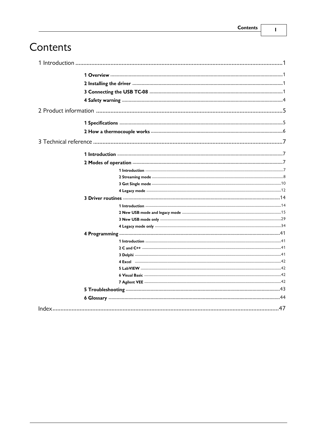$\mathbf I$ 

# Contents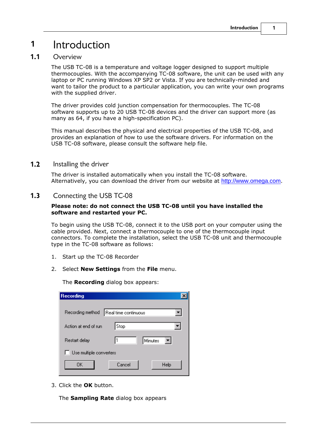# <span id="page-4-0"></span>**1** Introduction

#### **1.1** Overview

The USB TC-08 is a temperature and voltage logger designed to support multiple thermocouples. With the accompanying TC-08 software, the unit can be used with any laptop or PC running Windows XP SP2 or Vista. If you are technically-minded and want to tailor the product to a particular application, you can write your own programs with the supplied driver.

The driver provides cold junction compensation for thermocouples. The TC-08 software supports up to 20 USB TC-08 devices and the driver can support more (as many as 64, if you have a high-specification PC).

This manual describes the physical and electrical properties of the USB TC-08, and provides an explanation of how to use the software drivers. For information on the USB TC-08 software, please consult the software help file.

#### <span id="page-4-1"></span>**1.2** Installing the driver

The driver is installed automatically when you install the TC-08 software. Alternatively, you can download the driver from our website at <http://www.omega.com>.

#### <span id="page-4-2"></span>**1.3** Connecting the USB TC-08

#### **Please note: do not connect the USB TC-08 until you have installed the software and restarted your PC.**

To begin using the USB TC-08, connect it to the USB port on your computer using the cable provided. Next, connect a thermocouple to one of the thermocouple input connectors. To complete the installation, select the USB TC-08 unit and thermocouple type in the TC-08 software as follows:

- 1. Start up the TC-08 Recorder
- 2. Select **New Settings** from the **File** menu.

The **Recording** dialog box appears:

| <b>Recording</b>               |                      |         |
|--------------------------------|----------------------|---------|
| Recording method               | Real time continuous |         |
| Action at end of run           | Stop                 |         |
| Restart delay                  | I1                   | Minutes |
| $\Box$ Use multiple converters |                      |         |
| OΚ                             | Cancel               | Help    |

3. Click the **OK** button.

The **Sampling Rate** dialog box appears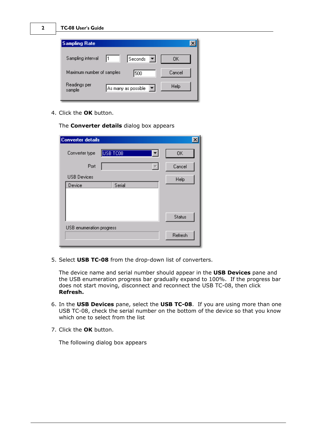| <b>Sampling Rate</b>                                |        |
|-----------------------------------------------------|--------|
| Sampling interval<br>Seconds                        | OΚ     |
| Maximum number of samples<br>500                    | Cancel |
| Readings per<br>▾╎<br>As many as possible<br>sample | Help   |

4. Click the **OK** button.

The **Converter details** dialog box appears

| <b>Converter details</b> |                                  |               |
|--------------------------|----------------------------------|---------------|
| Converter type           | USB TC08<br>$\blacktriangledown$ | <b>OK</b>     |
| Port                     |                                  | Cancel        |
| <b>USB Devices</b>       |                                  | Help          |
| Device                   | Serial                           |               |
|                          |                                  | <b>Status</b> |
|                          |                                  |               |
| USB enumeration progress |                                  | Refresh       |

5. Select **USB TC-08** from the drop-down list of converters.

The device name and serial number should appear in the **USB Devices** pane and the USB enumeration progress bar gradually expand to 100%. If the progress bar does not start moving, disconnect and reconnect the USB TC-08, then click **Refresh. Example 1.** In the drop-down list of converters.<br>
The device name and serial number should appear in the **USB Devices** pane and<br>
the USB enumeration progress bar gradually expand to 100%. If the progress bar<br>
does not sta

- USB TC-08, check the serial number on the bottom of the device so that you know which one to select from the list
- 7. Click the **OK** button.

The following dialog box appears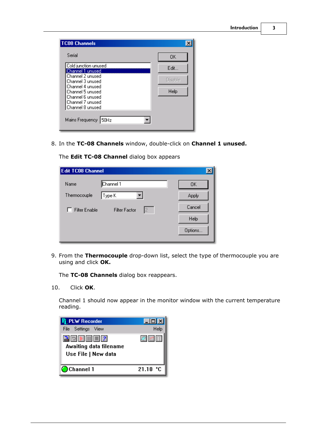| <b>TC08 Channels</b><br>Serial<br>Cold junction unused<br>Channel 1 unused<br>Channel 2 unused<br>Channel 3 unused<br>Channel 4 unused<br>Channel 5 unused<br>Channel 6 unused<br>Channel 7 unused<br>Channel 8 unused<br>Mains Frequency 50Hz | ×<br>0K<br>Edit<br><b>Disable</b><br><b>Help</b> |  |
|------------------------------------------------------------------------------------------------------------------------------------------------------------------------------------------------------------------------------------------------|--------------------------------------------------|--|
| 8. In the TC-08 Channels window, double-click on Channel 1 unused.<br>The Edit TC-08 Channel dialog box appears                                                                                                                                |                                                  |  |

| $\boldsymbol{\mathsf{x}}$<br><b>Edit TC08 Channel</b> |                            |         |  |
|-------------------------------------------------------|----------------------------|---------|--|
| Name                                                  | Channel 1                  | 0K      |  |
| Thermocouple                                          | Type K                     | Apply   |  |
| Filter Enable                                         | <b>Filter Factor</b><br>I2 | Cancel  |  |
|                                                       |                            | Help    |  |
|                                                       |                            | Options |  |

9. From the **Thermocouple** drop-down list, select the type of thermocouple you are using and click **OK.**

The **TC-08 Channels** dialog box reappears.

10. Click **OK**.

Channel 1 should now appear in the monitor window with the current temperature reading.

| <b>PLW Recorder</b>                                          |          |
|--------------------------------------------------------------|----------|
| File Settings View                                           | Help     |
| 3 이 기 Ⅲ Ⅲ 2<br>Awaiting data filename<br>Use File   New data |          |
| Channel 1                                                    | 21.10 °C |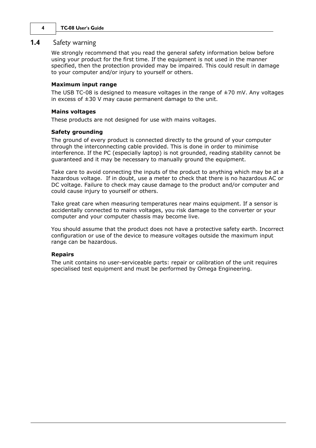#### <span id="page-7-0"></span>**1.4** Safety warning

We strongly recommend that you read the general safety information below before using your product for the first time. If the equipment is not used in the manner specified, then the protection provided may be impaired. This could result in damage to your computer and/or injury to yourself or others.

#### **Maximum input range**

The USB TC-08 is designed to measure voltages in the range of  $\pm$ 70 mV. Any voltages in excess of  $\pm 30$  V may cause permanent damage to the unit.

#### **Mains voltages**

These products are not designed for use with mains voltages.

#### **Safety grounding**

The ground of every product is connected directly to the ground of your computer through the interconnecting cable provided. This is done in order to minimise interference. If the PC (especially laptop) is not grounded, reading stability cannot be guaranteed and it may be necessary to manually ground the equipment.

Take care to avoid connecting the inputs of the product to anything which may be at a hazardous voltage. If in doubt, use a meter to check that there is no hazardous AC or DC voltage. Failure to check may cause damage to the product and/or computer and could cause injury to yourself or others.

Take great care when measuring temperatures near mains equipment. If a sensor is accidentally connected to mains voltages, you risk damage to the converter or your computer and your computer chassis may become live.

You should assume that the product does not have a protective safety earth. Incorrect configuration or use of the device to measure voltages outside the maximum input range can be hazardous.

#### **Repairs**

The unit contains no user-serviceable parts: repair or calibration of the unit requires specialised test equipment and must be performed by Omega Engineering.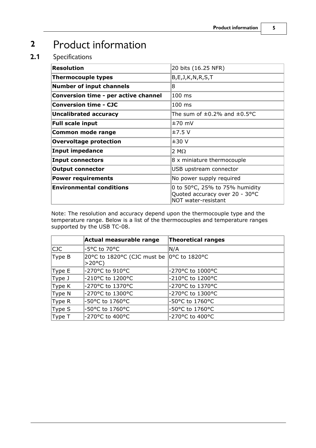# <span id="page-8-0"></span>**2** Product information

### **2.1** Specifications

| 20 bits (16.25 NFR)                                                                     |
|-----------------------------------------------------------------------------------------|
| B, E, J, K, N, R, S, T                                                                  |
| 8                                                                                       |
| 100 ms                                                                                  |
| $100 \text{ ms}$                                                                        |
| The sum of $\pm 0.2$ % and $\pm 0.5$ °C                                                 |
| $±70$ mV                                                                                |
| ±7.5V                                                                                   |
| ±30V                                                                                    |
| 2 M $\Omega$                                                                            |
| 8 x miniature thermocouple                                                              |
| USB upstream connector                                                                  |
| No power supply required                                                                |
| 0 to 50°C, 25% to 75% humidity<br>Quoted accuracy over 20 - 30°C<br>NOT water-resistant |
|                                                                                         |

Note: The resolution and accuracy depend upon the thermocouple type and the temperature range. Below is a list of the thermocouples and temperature ranges supported by the USB TC-08.

|            | Actual measurable range                               | Theoretical ranges |  |
|------------|-------------------------------------------------------|--------------------|--|
| <b>CJC</b> | -5°C to 70°C                                          | N/A                |  |
| Type B     | 20°C to 1820°C (CJC must be  0°C to 1820°C<br> >20°C) |                    |  |
| Type E     | -270°C to 910°C                                       | -270°C to 1000°C   |  |
| Type J     | -210°C to 1200°C                                      | -210°C to 1200°C   |  |
| Type K     | -270°C to 1370°C                                      | -270°C to 1370°C   |  |
| Type N     | -270°C to 1300°C                                      | -270°C to 1300°C   |  |
| Type R     | -50°C to 1760°C                                       | -50°C to 1760°C    |  |
| Type S     | -50°C to 1760°C                                       | -50°C to 1760°C    |  |
| Type T     | -270°C to 400°C                                       | -270°C to 400°C    |  |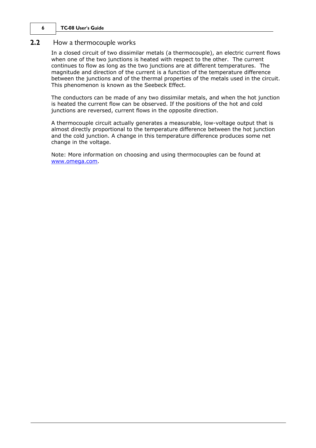#### <span id="page-9-0"></span>**2.2** How a thermocouple works

In a closed circuit of two dissimilar metals (a thermocouple), an electric current flows when one of the two junctions is heated with respect to the other. The current continues to flow as long as the two junctions are at different temperatures. The magnitude and direction of the current is a function of the temperature difference between the junctions and of the thermal properties of the metals used in the circuit. This phenomenon is known as the Seebeck Effect.

The conductors can be made of any two dissimilar metals, and when the hot junction is heated the current flow can be observed. If the positions of the hot and cold junctions are reversed, current flows in the opposite direction.

A thermocouple circuit actually generates a measurable, low-voltage output that is almost directly proportional to the temperature difference between the hot junction and the cold junction. A change in this temperature difference produces some net change in the voltage.

Note: More information on choosing and using thermocouples can be found at [www.omega.com.](http://www.omega.com)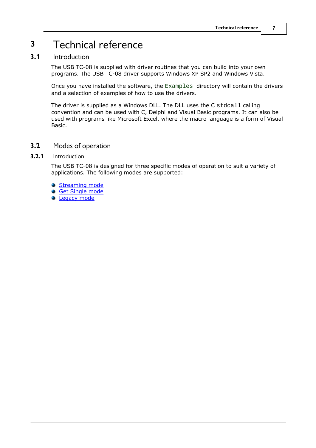# <span id="page-10-0"></span>**3** Technical reference

### **3.1** Introduction

The USB TC-08 is supplied with driver routines that you can build into your own programs. The USB TC-08 driver supports Windows XP SP2 and Windows Vista.

Once you have installed the software, the Examples directory will contain the drivers and a selection of examples of how to use the drivers.

The driver is supplied as a Windows DLL. The DLL uses the C stdcall calling convention and can be used with C, Delphi and Visual Basic programs. It can also be used with programs like Microsoft Excel, where the macro language is a form of Visual Basic.

<span id="page-10-1"></span>**3.2** Modes of operation

#### **3.2.1** Introduction

The USB TC-08 is designed for three specific modes of operation to suit a variety of applications. The following modes are supported:

- **[Streaming mode](#page-11-0)**
- **[Get Single mode](#page-13-0)**
- **[Legacy mode](#page-15-0)**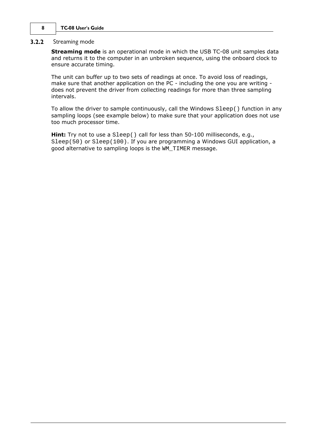#### <span id="page-11-0"></span>**3.2.2** Streaming mode

**Streaming mode** is an operational mode in which the USB TC-08 unit samples data and returns it to the computer in an unbroken sequence, using the onboard clock to ensure accurate timing.

The unit can buffer up to two sets of readings at once. To avoid loss of readings, make sure that another application on the PC - including the one you are writing does not prevent the driver from collecting readings for more than three sampling intervals.

To allow the driver to sample continuously, call the Windows Sleep() function in any sampling loops (see example below) to make sure that your application does not use too much processor time.

**Hint:** Try not to use a Sleep() call for less than 50-100 milliseconds, e.g., Sleep(50) or Sleep(100). If you are programming a Windows GUI application, a good alternative to sampling loops is the WM\_TIMER message.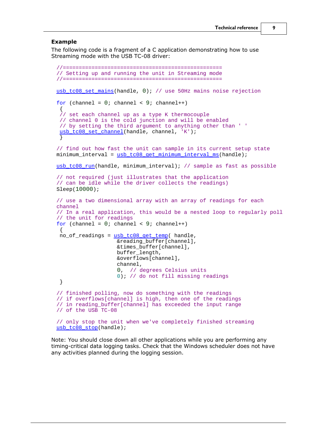#### **Example**

The following code is a fragment of a C application demonstrating how to use Streaming mode with the USB TC-08 driver:

```
//==================================================
// Setting up and running the unit in Streaming mode
//==================================================
usb tc08 set mains(handle, 0); // use 50Hz mains noise rejection
for (channel = 0; channel < 9; channel++)
\{// set each channel up as a type K thermocouple
 // channel 0 is the cold junction and will be enabled
 // by setting the third argument to anything other than ' '
usb_tc08_set_channel(handle, channel, 'K');
 }
// find out how fast the unit can sample in its current setup state
minimum interval = usb tc08 qet minimum interval ms(handle);
usb tc08 run(handle, minimum interval); // sample as fast as possible
// not required (just illustrates that the application
// can be idle while the driver collects the readings)
Sleep(10000); 
// use a two dimensional array with an array of readings for each
channel
// In a real application, this would be a nested loop to regularly poll
// the unit for readings
for (channel = 0; channel < 9; channel++)
\{ no_of_readings = usb_tc08_get_temp( handle,
                   &reading_buffer[channel],
                  &times buffer[channel],
                   buffer_length,
                   &overflows[channel],
                   channel,
                   0, // degrees Celsius units
                  0); // do not fill missing readings
 }
// finished polling, now do something with the readings
// if overflows[channel] is high, then one of the readings
// in reading_buffer[channel] has exceeded the input range
// of the USB TC-08
// only stop the unit when we've completely finished streaming
usb_tc08_stop(handle);
```
Note: You should close down all other applications while you are performing any timing-critical data logging tasks. Check that the Windows scheduler does not have any activities planned during the logging session.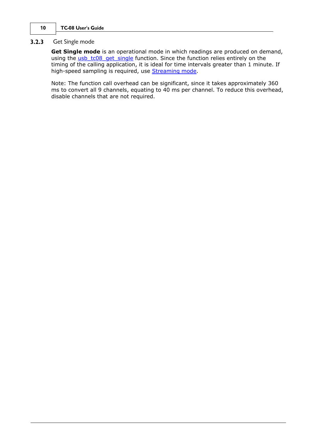#### <span id="page-13-0"></span>**3.2.3** Get Single mode

**Get Single mode** is an operational mode in which readings are produced on demand, using the [usb\\_tc08\\_get\\_single](#page-34-0) function. Since the function relies entirely on the timing of the calling application, it is ideal for time intervals greater than 1 minute. If high-speed sampling is required, use [Streaming mode.](#page-11-0)

Note: The function call overhead can be significant, since it takes approximately 360 ms to convert all 9 channels, equating to 40 ms per channel. To reduce this overhead, disable channels that are not required.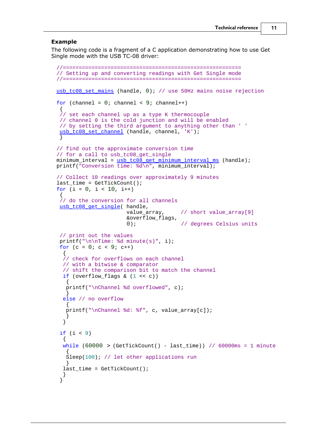#### **Example**

The following code is a fragment of a C application demonstrating how to use Get Single mode with the USB TC-08 driver:

```
//========================================================
// Setting up and converting readings with Get Single mode
//========================================================
usb tc08 set mains (handle, 0); // use 50Hz mains noise rejection
for (channel = 0; channel < 9; channel++)
\{// set each channel up as a type K thermocouple
 // channel 0 is the cold junction and will be enabled
// by setting the third argument to anything other than ' '
usb_tc08_set_channel (handle, channel, 'K');
 }
// find out the approximate conversion time 
// for a call to usb_tc08_get_single
 usb_tc08_get_minimum_interval_ms (handle);
printf("Conversion time: d\n\in", minimum interval);
// Collect 10 readings over approximately 9 minutes
last_time = GetTickCount();
for (i = 0, i < 10, i++)\{// do the conversion for all channels
usb_tc08_get_single( handle,
                   value_array, \frac{1}{2} // short value_array[9]
                    &overflow_flags,
                   0); \frac{1}{2} degrees Celsius units
  // print out the values
printf("\n\nTime: %d minute(s)", i);
 for (c = 0; c < 9; c++)\{ // check for overflows on each channel
  // with a bitwise & comparator
  // shift the comparison bit to match the channel
 if (overflow flags & (1 << c))\{ printf("\nChannel %d overflowed", c);
 }
  else // no overflow
\{ printf("\nChannel %d: %f", c, value_array[c]);
 }
 }
 if (i < 9)\{while (60000 > (GetTickCount() - last_time)) // 60000ms = 1 minute
\{Sleep(100); // let other applications run
 }
  last_time = GetTickCount();
 }
 \left.\begin{array}{c} \end{array}\right\}
```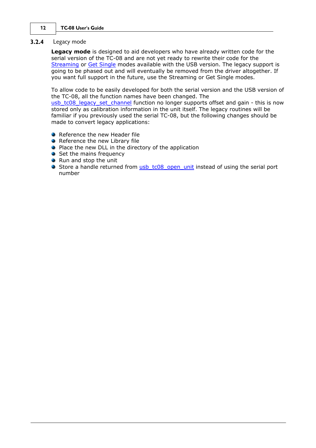#### <span id="page-15-0"></span>**3.2.4** Legacy mode

**Legacy mode** is designed to aid developers who have already written code for the serial version of the TC-08 and are not yet ready to rewrite their code for the [Streaming](#page-11-0) or [Get Single](#page-13-0) modes available with the USB version. The legacy support is going to be phased out and will eventually be removed from the driver altogether. If you want full support in the future, use the Streaming or Get Single modes.

To allow code to be easily developed for both the serial version and the USB version of the TC-08, all the function names have been changed. The

[usb\\_tc08\\_legacy\\_set\\_channel](#page-38-0) function no longer supports offset and gain - this is now stored only as calibration information in the unit itself. The legacy routines will be familiar if you previously used the serial TC-08, but the following changes should be made to convert legacy applications:

- Reference the new Header file
- Reference the new Library file
- **P** Place the new DLL in the directory of the application
- Set the mains frequency
- Run and stop the unit
- Store a handle returned from usb tc08 open unit instead of using the serial port number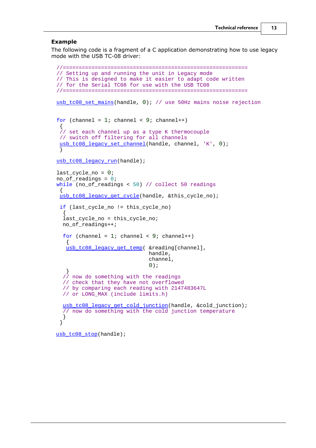#### **Example**

The following code is a fragment of a C application demonstrating how to use legacy mode with the USB TC-08 driver:

```
//==========================================================
// Setting up and running the unit in Legacy mode
// This is designed to make it easier to adapt code written
// for the Serial TC08 for use with the USB TC08
//==========================================================
usb_tc08_set_mains(handle, 0); // use 50Hz mains noise rejection
for (channel = 1; channel < 9; channel++)
\{// set each channel up as a type K thermocouple
// switch off filtering for all channels
usb_tc08_legacy_set_channel(handle, channel, 'K', 0);
 }
usb_tc08_legacy_run(handle);
last cycle no = 0;no_of_readings = 0;
while (no_of_readings < 50) // collect 50 readings
\{usb tc08 legacy get cycle(handle, &this cycle no);
 if (last cycle no != this cycle no)
\{last cycle no = this cycle no;
  no_of_readings++;
 for (channel = 1; channel < 9; channel++)
\{usb tc08_legacy_get_temp( &reading[channel],
                           handle,
                           channel,
\begin{pmatrix} 0 \\ 0 \end{pmatrix};
 }
  // now do something with the readings
  // check that they have not overflowed
  // by comparing each reading with 2147483647L
  // or LONG_MAX (include limits.h) 
 usb_tc08_legacy_get_cold_junction(handle, &cold_junction);
  // now do something with the cold junction temperature
 }
 }
usb_tc08_stop(handle);
```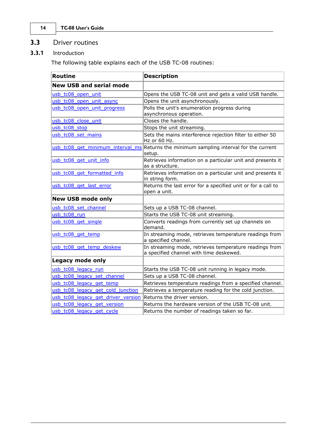### <span id="page-17-0"></span>**3.3** Driver routines

**3.3.1** Introduction

The following table explains each of the USB TC-08 routines:

<span id="page-17-1"></span>

| <b>Routine</b>                     | <b>Description</b>                                                                                |
|------------------------------------|---------------------------------------------------------------------------------------------------|
| <b>New USB and serial mode</b>     |                                                                                                   |
| usb tc08 open unit                 | Opens the USB TC-08 unit and gets a valid USB handle.                                             |
| usb tc08 open unit async           | Opens the unit asynchronously.                                                                    |
| usb_tc08_open_unit_progress        | Polls the unit's enumeration progress during<br>asynchronous operation.                           |
| usb tc08 close unit                | Closes the handle.                                                                                |
| usb tc08 stop                      | Stops the unit streaming.                                                                         |
| usb tc08 set mains                 | Sets the mains interference rejection filter to either 50<br>Hz or 60 Hz.                         |
|                                    | usb tc08 get minimum interval ms Returns the minimum sampling interval for the current<br>setup.  |
| usb_tc08_get_unit_info             | Retrieves information on a particular unit and presents it<br>as a structure.                     |
| usb_tc08_get_formatted_info        | Retrieves information on a particular unit and presents it<br>in string form.                     |
| usb_tc08_get_last_error            | Returns the last error for a specified unit or for a call to<br>open a unit.                      |
| <b>New USB mode only</b>           |                                                                                                   |
| usb tc08 set channel               | Sets up a USB TC-08 channel.                                                                      |
| usb tc08 run                       | Starts the USB TC-08 unit streaming.                                                              |
| usb_tc08_get_single                | Converts readings from currently set up channels on<br>demand.                                    |
| usb_tc08_get_temp                  | In streaming mode, retrieves temperature readings from<br>a specified channel.                    |
| usb_tc08_get_temp_deskew           | In streaming mode, retrieves temperature readings from<br>a specified channel with time deskewed. |
| Legacy mode only                   |                                                                                                   |
| usb tc08 legacy run                | Starts the USB TC-08 unit running in legacy mode.                                                 |
| usb tc08 legacy set channel        | Sets up a USB TC-08 channel.                                                                      |
| usb tc08 legacy get temp           | Retrieves temperature readings from a specified channel.                                          |
| usb tc08 legacy get cold junction  | Retrieves a temperature reading for the cold junction.                                            |
| usb tc08 legacy get driver version | Returns the driver version.                                                                       |
| usb tc08 legacy get version        | Returns the hardware version of the USB TC-08 unit.                                               |
| usb tc08 legacy get cycle          | Returns the number of readings taken so far.                                                      |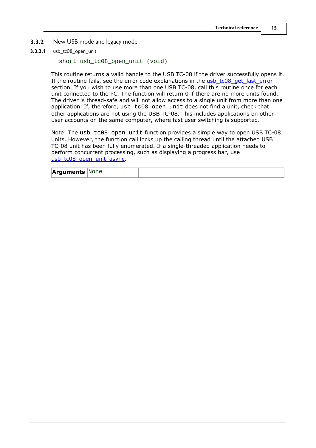- <span id="page-18-0"></span>**3.3.2** New USB mode and legacy mode
- **3.3.2.1** usb\_tc08\_open\_unit

```
short usb_tc08_open_unit (void)
```
This routine returns a valid handle to the USB TC-08 if the driver successfully opens it. If the routine fails, see the error code explanations in the [usb\\_tc08\\_get\\_last\\_error](#page-30-0) section. If you wish to use more than one USB TC-08, call this routine once for each unit connected to the PC. The function will return 0 if there are no more units found. The driver is thread-safe and will not allow access to a single unit from more than one application. If, therefore, usb\_tc08\_open\_unit does not find a unit, check that other applications are not using the USB TC-08. This includes applications on other user accounts on the same computer, where fast user switching is supported.

Note: The usb\_tc08\_open\_unit function provides a simple way to open USB TC-08 units. However, the function call locks up the calling thread until the attached USB TC-08 unit has been fully enumerated. If a single-threaded application needs to perform concurrent processing, such as displaying a progress bar, use [usb\\_tc08\\_open\\_unit\\_async](#page-21-0).

| <b>Arguments None</b> |  |
|-----------------------|--|
|                       |  |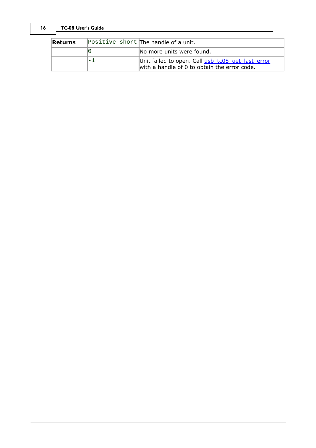| Returns | Positive short The handle of a unit.                                                              |
|---------|---------------------------------------------------------------------------------------------------|
|         | No more units were found.                                                                         |
|         | Unit failed to open. Call usb_tc08_get_last_error<br>with a handle of 0 to obtain the error code. |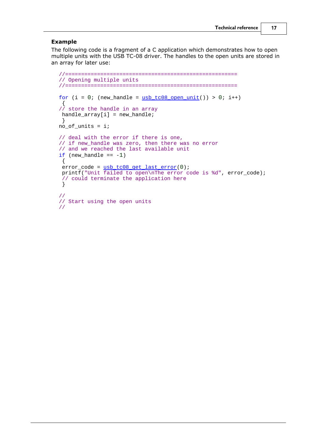#### **Example**

The following code is a fragment of a C application which demonstrates how to open multiple units with the USB TC-08 driver. The handles to the open units are stored in an array for later use:

```
//======================================================
// Opening multiple units
//======================================================
for (i = 0; (new_handle = <u>usb_to08_open-unit()</u> > 0; i++)</u>
\{// store the handle in an array
 handle_array[i] = new_handle;
 }
no_of_units = i;// deal with the error if there is one,
// if new_handle was zero, then there was no error 
// and we reached the last available unit
if (new handle == -1)
\{ error_code = usb_tc08_get_last_error(0); 
printf("Unit failed to open\nThe error code is %d", error_code);
 // could terminate the application here
 }
//
// Start using the open units
//
```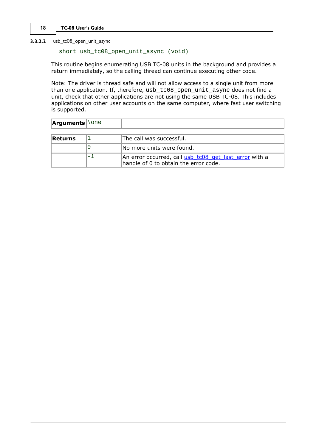<span id="page-21-0"></span>**3.3.2.2** usb\_tc08\_open\_unit\_async

short usb\_tc08\_open\_unit\_async (void)

This routine begins enumerating USB TC-08 units in the background and provides a return immediately, so the calling thread can continue executing other code.

Note: The driver is thread safe and will not allow access to a single unit from more than one application. If, therefore, usb\_tc08\_open\_unit\_async does not find a unit, check that other applications are not using the same USB TC-08. This includes applications on other user accounts on the same computer, where fast user switching is supported.

| <b>Arguments</b> None |    |                                                                                                 |
|-----------------------|----|-------------------------------------------------------------------------------------------------|
| Returns               |    | The call was successful.                                                                        |
|                       | 10 | INo more units were found.                                                                      |
|                       | —  | An error occurred, call usb tc08 get last error with a<br>handle of 0 to obtain the error code. |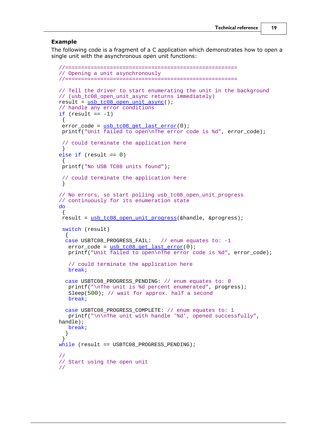#### **Example**

The following code is a fragment of a C application which demonstrates how to open a single unit with the asynchronous open unit functions:

```
//======================================================
// Opening a unit asynchronously
//======================================================
// Tell the driver to start enumerating the unit in the background
// (usb_tc08_open_unit_async returns immediately)
result = usb_tc08_open_unit_async();
// handle any error conditions
if (result == -1)\{usb_tc08_get_last_error(0);
 printf("Unit failed to open\nThe error code is %d", error_code);
 // could terminate the application here
 }
else if (result == 0)
\{ printf("No USB TC08 units found");
 // could terminate the application here
 }
// No errors, so start polling usb_tc08_open_unit_progress
// continuously for its enumeration state
do
\{ result = usb_tc08_open_unit_progress(&handle, &progress);
 switch (result)
\{ case USBTC08_PROGRESS_FAIL: // enum equates to: -1
  error\_code = usb\_tc08\_get\_last\_error(0); printf("Unit failed to open\nThe error code is %d", error_code);
   // could terminate the application here
  break;
  case USBTC08_PROGRESS_PENDING: // enum equates to: 0
  printf("\nThe unit is %d percent enumerated", progress);
  Sleep(500); // wait for approx. half a second
   break;
   case USBTC08_PROGRESS_COMPLETE: // enum equates to: 1
   printf("\n\nThe unit with handle '%d', opened successfully",
handle);
   break;
 }
 }
while (result == USBTC08_PROGRESS_PENDING);
//
// Start using the open unit
//
```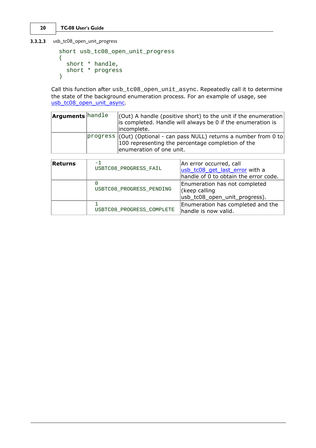<span id="page-23-0"></span>**3.3.2.3** usb\_tc08\_open\_unit\_progress

```
short usb_tc08_open_unit_progress
(short * handle,
 short * progress
)
```
Call this function after usb\_tc08\_open\_unit\_async. Repeatedly call it to determine the state of the background enumeration process. For an example of usage, see [usb\\_tc08\\_open\\_unit\\_async](#page-21-0).

| is completed. Handle will always be 0 if the enumeration is<br>lincomplete.<br>100 representing the percentage completion of the | <b>Arguments</b> handle | $\vert$ (Out) A handle (positive short) to the unit if the enumeration |  |
|----------------------------------------------------------------------------------------------------------------------------------|-------------------------|------------------------------------------------------------------------|--|
| $ {\rm progress}  (Out)  (Optional - can pass NULL)$ returns a number from 0 to                                                  |                         |                                                                        |  |
| enumeration of one unit.                                                                                                         |                         |                                                                        |  |

| Returns | -1<br>USBTC08 PROGRESS FAIL   | An error occurred, call<br>usb_tc08_get_last_error with a<br>handle of 0 to obtain the error code. |
|---------|-------------------------------|----------------------------------------------------------------------------------------------------|
|         | 0<br>USBTC08_PROGRESS_PENDING | Enumeration has not completed<br>(keep calling<br>usb_tc08_open_unit_progress).                    |
|         | USBTC08_PROGRESS_COMPLETE     | Enumeration has completed and the<br>handle is now valid.                                          |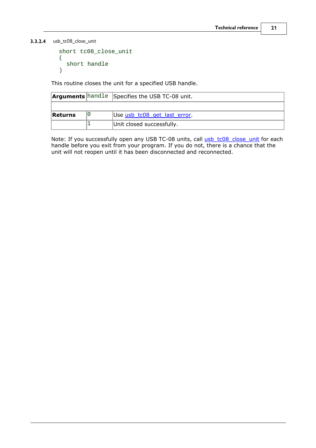<span id="page-24-0"></span>**3.3.2.4** usb\_tc08\_close\_unit

```
short tc08_close_unit
(short handle
)
```
This routine closes the unit for a specified USB handle.

|         | <b>Arguments</b> handle Specifies the USB TC-08 unit. |
|---------|-------------------------------------------------------|
|         |                                                       |
| Returns | Use usb tc08 get last error.                          |
|         | Unit closed successfully.                             |

Note: If you successfully open any USB TC-08 units, call [usb\\_tc08\\_close\\_unit](#page-24-0) for each handle before you exit from your program. If you do not, there is a chance that the unit will not reopen until it has been disconnected and reconnected.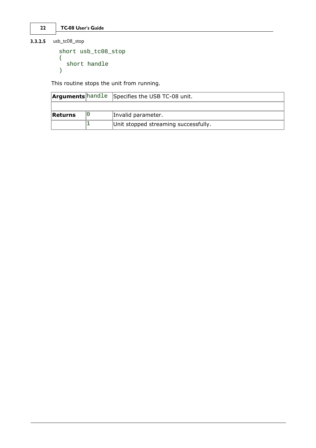<span id="page-25-0"></span>**3.3.2.5** usb\_tc08\_stop

```
short usb_tc08_stop
(short handle
)
```
This routine stops the unit from running.

|         | <b>Arguments</b> hand le Specifies the USB TC-08 unit. |
|---------|--------------------------------------------------------|
|         |                                                        |
| Returns | Invalid parameter.                                     |
|         | Unit stopped streaming successfully.                   |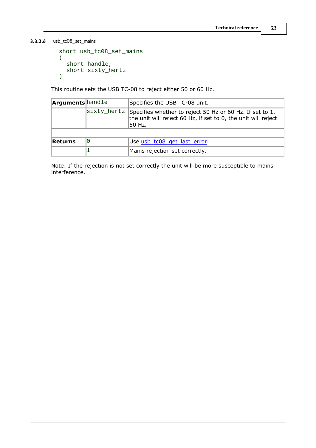<span id="page-26-0"></span>**3.3.2.6** usb\_tc08\_set\_mains

```
short usb_tc08_set_mains
(short handle,
 short sixty_hertz
)
```
This routine sets the USB TC-08 to reject either 50 or 60 Hz.

| <b>Arguments</b> handle |    | Specifies the USB TC-08 unit.                                                                                                                             |
|-------------------------|----|-----------------------------------------------------------------------------------------------------------------------------------------------------------|
|                         |    | $ \text{sixty}$ hertz Specifies whether to reject 50 Hz or 60 Hz. If set to 1,<br>the unit will reject 60 Hz, if set to 0, the unit will reject<br>50 Hz. |
| Returns                 | 10 | Use usb_tc08_get_last_error.                                                                                                                              |
|                         |    | Mains rejection set correctly.                                                                                                                            |

Note: If the rejection is not set correctly the unit will be more susceptible to mains interference.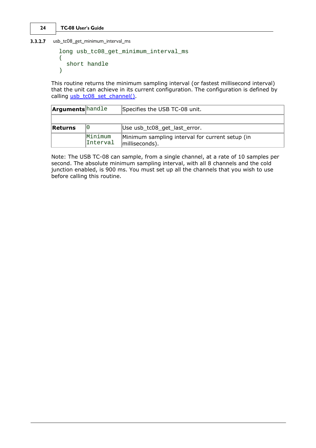<span id="page-27-0"></span>**3.3.2.7** usb\_tc08\_get\_minimum\_interval\_ms

```
long usb_tc08_get_minimum_interval_ms 
(short handle
)
```
This routine returns the minimum sampling interval (or fastest millisecond interval) that the unit can achieve in its current configuration. The configuration is defined by calling [usb\\_tc08\\_set\\_channel\(\)](#page-32-0).

| <b>Arguments</b> handle |                     | Specifies the USB TC-08 unit.                                     |
|-------------------------|---------------------|-------------------------------------------------------------------|
|                         |                     |                                                                   |
| Returns                 | ΙU                  | Use usb_tc08_get_last_error.                                      |
|                         | Minimum<br>Interval | Minimum sampling interval for current setup (in<br>milliseconds). |

Note: The USB TC-08 can sample, from a single channel, at a rate of 10 samples per second. The absolute minimum sampling interval, with all 8 channels and the cold junction enabled, is 900 ms. You must set up all the channels that you wish to use before calling this routine.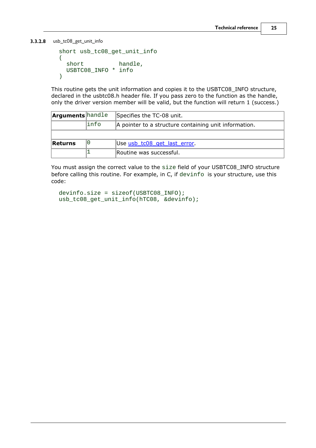<span id="page-28-0"></span>**3.3.2.8** usb\_tc08\_get\_unit\_info

```
short usb_tc08_get_unit_info
(short handle,
 USBTC08_INFO * info
)
```
This routine gets the unit information and copies it to the USBTC08\_INFO structure, declared in the usbtc08.h header file. If you pass zero to the function as the handle, only the driver version member will be valid, but the function will return 1 (success.)

| <b>Arguments</b> handle |       | Specifies the TC-08 unit.                             |
|-------------------------|-------|-------------------------------------------------------|
|                         | linfo | A pointer to a structure containing unit information. |
|                         |       |                                                       |
| Returns                 |       | Use usb_tc08_get_last_error.                          |
|                         |       | Routine was successful.                               |

You must assign the correct value to the size field of your USBTC08\_INFO structure before calling this routine. For example, in C, if devinfo is your structure, use this code:

```
devinfo.size = sizeof(USBTC08_INFO);
usb_tc08_get_unit_info(hTC08, &devinfo);
```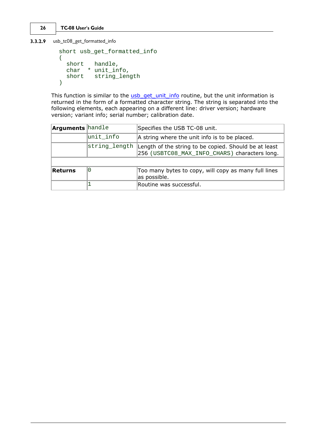```
26 TC-08 User's Guide
```
<span id="page-29-0"></span>**3.3.2.9** usb\_tc08\_get\_formatted\_info

```
short usb_get_formatted_info 
(short handle,
 char * unit_info,
 short string_length
)
```
This function is similar to the [usb\\_get\\_unit\\_info](#page-28-0) routine, but the unit information is returned in the form of a formatted character string. The string is separated into the following elements, each appearing on a different line: driver version; hardware version; variant info; serial number; calibration date.

| <b>Arguments</b> handle |               | Specifies the USB TC-08 unit.                                                                          |
|-------------------------|---------------|--------------------------------------------------------------------------------------------------------|
|                         | unit info     | A string where the unit info is to be placed.                                                          |
|                         | string_length | Length of the string to be copied. Should be at least<br>256 (USBTC08_MAX_INFO_CHARS) characters long. |
|                         |               |                                                                                                        |
| Returns                 | 10            | Too many bytes to copy, will copy as many full lines<br>as possible.                                   |
|                         |               | Routine was successful.                                                                                |
|                         |               |                                                                                                        |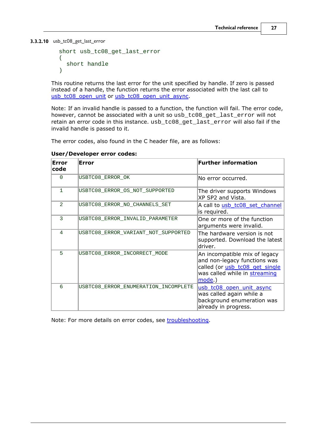<span id="page-30-0"></span>**3.3.2.10** usb\_tc08\_get\_last\_error

```
short usb_tc08_get_last_error 
(short handle
)
```
This routine returns the last error for the unit specified by handle. If zero is passed instead of a handle, the function returns the error associated with the last call to [usb\\_tc08\\_open\\_unit](#page-18-0) or [usb\\_tc08\\_open\\_unit\\_async.](#page-21-0)

Note: If an invalid handle is passed to a function, the function will fail. The error code, however, cannot be associated with a unit so usb\_tc08\_get\_last\_error will not retain an error code in this instance. usb\_tc08\_get\_last\_error will also fail if the invalid handle is passed to it.

The error codes, also found in the C header file, are as follows:

| <b>Error</b><br>code | Error                                | <b>Further information</b>                                                                                                                 |
|----------------------|--------------------------------------|--------------------------------------------------------------------------------------------------------------------------------------------|
| $\Omega$             | USBTC08_ERROR_OK                     | No error occurred.                                                                                                                         |
| $\mathbf{1}$         | USBTC08 ERROR OS NOT SUPPORTED       | The driver supports Windows<br>XP SP2 and Vista.                                                                                           |
| 2                    | USBTC08 ERROR NO CHANNELS SET        | A call to usb tc08 set channel<br>is required.                                                                                             |
| 3                    | USBTC08 ERROR INVALID PARAMETER      | One or more of the function<br>arguments were invalid.                                                                                     |
| 4                    | USBTC08_ERROR_VARIANT_NOT_SUPPORTED  | The hardware version is not<br>supported. Download the latest<br>driver.                                                                   |
| 5                    | USBTC08 ERROR INCORRECT MODE         | An incompatible mix of legacy<br>and non-legacy functions was<br>called (or usb_tc08_get_single<br>was called while in streaming<br>mode.) |
| 6                    | USBTC08 ERROR ENUMERATION INCOMPLETE | usb_tc08_open_unit_async<br>was called again while a<br>background enumeration was<br>already in progress.                                 |

**User/Developer error codes:**

Note: For more details on error codes, see [troubleshooting.](#page-46-0)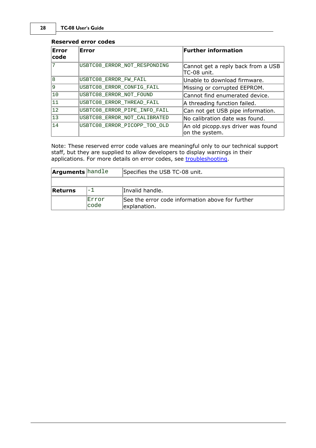#### **Reserved error codes**

| Error<br> code | Error                        | <b>Further information</b>                           |
|----------------|------------------------------|------------------------------------------------------|
| 17             | USBTC08_ERROR_NOT_RESPONDING | Cannot get a reply back from a USB<br>TC-08 unit.    |
| 18             | USBTC08_ERROR_FW_FAIL        | Unable to download firmware.                         |
| و              | USBTC08_ERROR_CONFIG_FAIL    | Missing or corrupted EEPROM.                         |
| 10             | USBTC08 ERROR NOT FOUND      | Cannot find enumerated device.                       |
| 11             | USBTC08_ERROR_THREAD_FAIL    | A threading function failed.                         |
| 12             | USBTC08 ERROR PIPE INFO FAIL | Can not get USB pipe information.                    |
| 13             | USBTC08 ERROR NOT CALIBRATED | No calibration date was found.                       |
| 14             | USBTC08_ERROR_PICOPP_TOO_OLD | An old picopp.sys driver was found<br>on the system. |

Note: These reserved error code values are meaningful only to our technical support staff, but they are supplied to allow developers to display warnings in their applications. For more details on error codes, see [troubleshooting.](#page-46-0)

| <b>Arguments</b> handle |                | Specifies the USB TC-08 unit.                                    |
|-------------------------|----------------|------------------------------------------------------------------|
|                         |                |                                                                  |
| Returns                 | - 1            | Invalid handle.                                                  |
|                         | Error<br>lcode | See the error code information above for further<br>explanation. |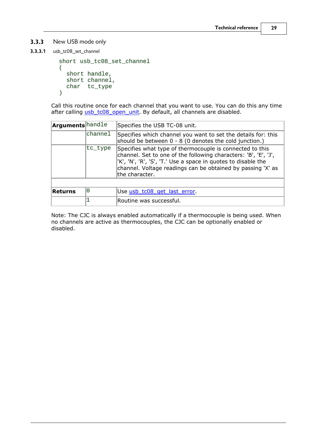#### <span id="page-32-0"></span>**3.3.3** New USB mode only

**3.3.3.1** usb\_tc08\_set\_channel

```
short usb_tc08_set_channel 
(short handle,
 short channel,
 char tc_type
)
```
Call this routine once for each channel that you want to use. You can do this any time after calling usb tc08 open unit. By default, all channels are disabled.

| <b>Arguments</b> handle |                                                                                                                                                                                                                                                                                           | Specifies the USB TC-08 unit.                                                                                           |
|-------------------------|-------------------------------------------------------------------------------------------------------------------------------------------------------------------------------------------------------------------------------------------------------------------------------------------|-------------------------------------------------------------------------------------------------------------------------|
|                         | channel                                                                                                                                                                                                                                                                                   | Specifies which channel you want to set the details for: this<br>should be between 0 - 8 (0 denotes the cold junction.) |
|                         | Specifies what type of thermocouple is connected to this<br> tc_type<br>channel. Set to one of the following characters: 'B', 'E', 'J',<br>"K', 'N', 'R', 'S', 'T.' Use a space in quotes to disable the<br>channel. Voltage readings can be obtained by passing 'X' as<br>the character. |                                                                                                                         |
|                         |                                                                                                                                                                                                                                                                                           |                                                                                                                         |
| Returns                 | 10                                                                                                                                                                                                                                                                                        | Use usb_tc08_get_last_error.                                                                                            |
|                         |                                                                                                                                                                                                                                                                                           | Routine was successful.                                                                                                 |
|                         |                                                                                                                                                                                                                                                                                           |                                                                                                                         |

Note: The CJC is always enabled automatically if a thermocouple is being used. When no channels are active as thermocouples, the CJC can be optionally enabled or disabled.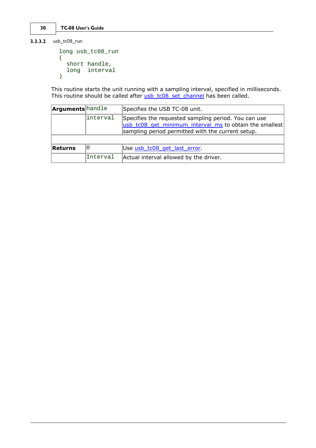```
3.3.3.2 usb_tc08_run
```

```
long usb_tc08_run
(short handle,
 long interval
)
```
This routine starts the unit running with a sampling interval, specified in milliseconds. This routine should be called after <u>[usb\\_tc08\\_set\\_channel](#page-32-0)</u> has been called.

| <b>Arguments</b> handle |           | Specifies the USB TC-08 unit.                                                                                                                                        |  |
|-------------------------|-----------|----------------------------------------------------------------------------------------------------------------------------------------------------------------------|--|
|                         | linterval | Specifies the requested sampling period. You can use<br>usb tc08 get minimum interval ms to obtain the smallest<br>sampling period permitted with the current setup. |  |
| Returns                 | 0         | Use usb tc08 get last error.                                                                                                                                         |  |
|                         | Interval  | Actual interval allowed by the driver.                                                                                                                               |  |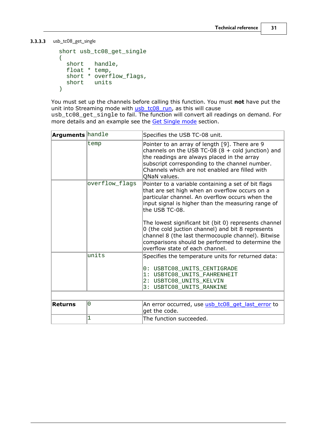<span id="page-34-0"></span>**3.3.3.3** usb\_tc08\_get\_single

```
short usb_tc08_get_single
(short handle,
 float * temp,
 short * overflow_flags,
 short units
)
```
You must set up the channels before calling this function. You must **not** have put the unit into Streaming mode with usb tc08 run, as this will cause usb\_tc08\_get\_single to fail. The function will convert all readings on demand. For more details and an example see the [Get Single mode](#page-13-0) section.

| <b>Arguments</b> handle |                | Specifies the USB TC-08 unit.                                                                                                                                                                                                                                                                                                                                                                                                                                                               |
|-------------------------|----------------|---------------------------------------------------------------------------------------------------------------------------------------------------------------------------------------------------------------------------------------------------------------------------------------------------------------------------------------------------------------------------------------------------------------------------------------------------------------------------------------------|
|                         | temp           | Pointer to an array of length [9]. There are 9<br>channels on the USB TC-08 $(8 + \text{cold junction})$ and<br>the readings are always placed in the array<br>subscript corresponding to the channel number.<br>Channels which are not enabled are filled with<br>QNaN values.                                                                                                                                                                                                             |
|                         | overflow_flags | Pointer to a variable containing a set of bit flags<br>that are set high when an overflow occurs on a<br>particular channel. An overflow occurs when the<br>input signal is higher than the measuring range of<br>the USB TC-08.<br>The lowest significant bit (bit 0) represents channel<br>0 (the cold juction channel) and bit 8 represents<br>channel 8 (the last thermocouple channel). Bitwise<br>comparisons should be performed to determine the<br>overflow state of each channel. |
|                         | units          | Specifies the temperature units for returned data:                                                                                                                                                                                                                                                                                                                                                                                                                                          |
|                         |                | 0: USBTC08 UNITS CENTIGRADE<br>1: USBTC08 UNITS FAHRENHEIT<br>2: USBTC08_UNITS_KELVIN<br>3: USBTC08_UNITS_RANKINE                                                                                                                                                                                                                                                                                                                                                                           |
|                         |                |                                                                                                                                                                                                                                                                                                                                                                                                                                                                                             |
| <b>Returns</b>          | 0              | An error occurred, use usb_tc08_get_last_error to<br>get the code.                                                                                                                                                                                                                                                                                                                                                                                                                          |
|                         | 1              | The function succeeded.                                                                                                                                                                                                                                                                                                                                                                                                                                                                     |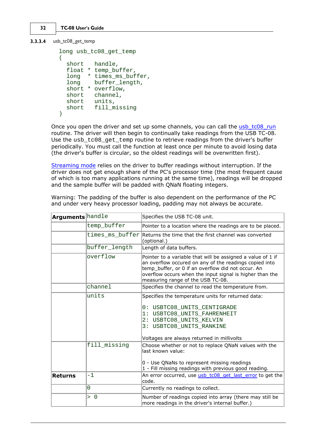```
3.3.3.4 usb_tc08_get_temp
```

```
long usb_tc08_get_temp
(short handle,
 float * temp buffer,
 long * times_ms_buffer,
 long buffer_length,
 short * overflow,
 short channel,
 short units,
 short fill_missing
)
```
Once you open the driver and set up some channels, you can call the usb tc08 run routine. The driver will then begin to continually take readings from the USB TC-08. Use the usb\_tc08\_get\_temp routine to retrieve readings from the driver's buffer periodically. You must call the function at least once per minute to avoid losing data (the driver's buffer is circular, so the oldest readings will be overwritten first).

[Streaming mode](#page-11-0) relies on the driver to buffer readings without interruption. If the driver does not get enough share of the PC's processor time (the most frequent cause of which is too many applications running at the same time), readings will be dropped and the sample buffer will be padded with QNaN floating integers.

Warning: The padding of the buffer is also dependent on the performance of the PC and under very heavy processor loading, padding may not always be accurate.

| <b>Arguments</b> handle | Specifies the USB TC-08 unit.                                                                                                                                                                                                                                                            |                                                                                                                                                                                                                                                                                |
|-------------------------|------------------------------------------------------------------------------------------------------------------------------------------------------------------------------------------------------------------------------------------------------------------------------------------|--------------------------------------------------------------------------------------------------------------------------------------------------------------------------------------------------------------------------------------------------------------------------------|
|                         | temp buffer                                                                                                                                                                                                                                                                              | Pointer to a location where the readings are to be placed.                                                                                                                                                                                                                     |
|                         | times ms buffer<br>Returns the time that the first channel was converted<br>(optional.)                                                                                                                                                                                                  |                                                                                                                                                                                                                                                                                |
|                         | buffer_length                                                                                                                                                                                                                                                                            | Length of data buffers.                                                                                                                                                                                                                                                        |
|                         | overflow<br>Pointer to a variable that will be assigned a value of 1 if<br>an overflow occured on any of the readings copied into<br>temp_buffer, or 0 if an overflow did not occur. An<br>overflow occurs when the input signal is higher than the<br>measuring range of the USB TC-08. |                                                                                                                                                                                                                                                                                |
|                         | channel                                                                                                                                                                                                                                                                                  | Specifies the channel to read the temperature from.                                                                                                                                                                                                                            |
|                         | units<br>fill missing                                                                                                                                                                                                                                                                    | Specifies the temperature units for returned data:<br>0: USBTC08_UNITS_CENTIGRADE<br>1: USBTC08 UNITS FAHRENHEIT<br>2: USBTC08 UNITS KELVIN<br>3: USBTC08 UNITS RANKINE<br>Voltages are always returned in millivolts<br>Choose whether or not to replace QNaN values with the |
|                         |                                                                                                                                                                                                                                                                                          | last known value:<br>0 - Use QNaNs to represent missing readings<br>1 - Fill missing readings with previous good reading.                                                                                                                                                      |
| Returns                 | $-1$                                                                                                                                                                                                                                                                                     | An error occurred, use usb tc08 get last error to get the<br>code.                                                                                                                                                                                                             |
|                         | $\Omega$                                                                                                                                                                                                                                                                                 | Currently no readings to collect.                                                                                                                                                                                                                                              |
|                         | > 0                                                                                                                                                                                                                                                                                      | Number of readings copied into array (there may still be<br>more readings in the driver's internal buffer.)                                                                                                                                                                    |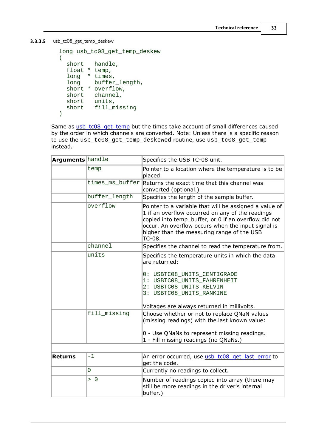<span id="page-36-0"></span>**3.3.3.5** usb\_tc08\_get\_temp\_deskew

```
long usb_tc08_get_temp_deskew 
(short handle,
 float * temp,
 long * times,
 long buffer_length,
 short * overflow,
 short channel,
 short units,
 short fill_missing
)
```
Same as [usb\\_tc08\\_get\\_temp](#page-35-0) but the times take account of small differences caused by the order in which channels are converted. Note: Unless there is a specific reason to use the usb\_tc08\_get\_temp\_deskewed routine, use usb\_tc08\_get\_temp instead.

| <b>Arguments</b> handle |                 | Specifies the USB TC-08 unit.                                                                                                                                                                                                                                                    |
|-------------------------|-----------------|----------------------------------------------------------------------------------------------------------------------------------------------------------------------------------------------------------------------------------------------------------------------------------|
|                         | temp            | Pointer to a location where the temperature is to be<br>placed.                                                                                                                                                                                                                  |
|                         | times_ms_buffer | Returns the exact time that this channel was<br>converted (optional.)                                                                                                                                                                                                            |
|                         | buffer_length   | Specifies the length of the sample buffer.                                                                                                                                                                                                                                       |
|                         | overflow        | Pointer to a variable that will be assigned a value of<br>1 if an overflow occurred on any of the readings<br>copied into temp_buffer, or 0 if an overflow did not<br>occur. An overflow occurs when the input signal is<br>higher than the measuring range of the USB<br>TC-08. |
|                         | channel         | Specifies the channel to read the temperature from.                                                                                                                                                                                                                              |
|                         | units           | Specifies the temperature units in which the data<br>are returned:                                                                                                                                                                                                               |
|                         |                 | 0: USBTC08_UNITS_CENTIGRADE<br>1: USBTC08_UNITS_FAHRENHEIT<br>2: USBTC08_UNITS_KELVIN<br>3: USBTC08_UNITS_RANKINE                                                                                                                                                                |
|                         |                 | Voltages are always returned in millivolts.                                                                                                                                                                                                                                      |
|                         | fill missing    | Choose whether or not to replace QNaN values<br>(missing readings) with the last known value:                                                                                                                                                                                    |
|                         |                 | 0 - Use QNaNs to represent missing readings.<br>1 - Fill missing readings (no QNaNs.)                                                                                                                                                                                            |
|                         |                 |                                                                                                                                                                                                                                                                                  |
| <b>Returns</b>          | $-1$            | An error occurred, use usb tc08 get last error to<br>get the code.                                                                                                                                                                                                               |
|                         | 0               | Currently no readings to collect.                                                                                                                                                                                                                                                |
|                         | > 0             | Number of readings copied into array (there may<br>still be more readings in the driver's internal<br>buffer.)                                                                                                                                                                   |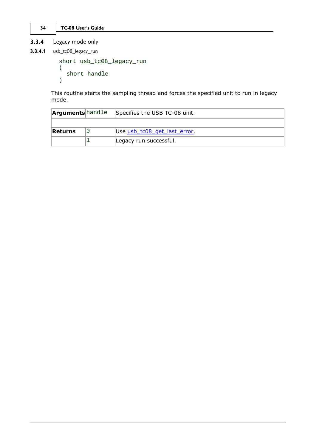<span id="page-37-0"></span>**3.3.4** Legacy mode only

**3.3.4.1** usb\_tc08\_legacy\_run

```
short usb_tc08_legacy_run
(short handle
)
```
This routine starts the sampling thread and forces the specified unit to run in legacy mode.

| <b>Arguments</b> handle | Specifies the USB TC-08 unit. |
|-------------------------|-------------------------------|
|                         |                               |
| Returns                 | Use usb_tc08_get_last_error.  |
|                         | Legacy run successful.        |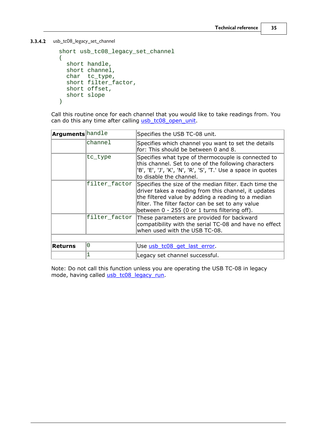<span id="page-38-0"></span>**3.3.4.2** usb\_tc08\_legacy\_set\_channel

```
short usb_tc08_legacy_set_channel 
(short handle,
 short channel,
 char tc_type,
 short filter_factor,
 short offset,
 short slope
)
```
Call this routine once for each channel that you would like to take readings from. You can do this any time after calling [usb\\_tc08\\_open\\_unit.](#page-18-0)

| <b>Arguments</b> handle |               | Specifies the USB TC-08 unit.                                                                                                                                                                                                                                                            |
|-------------------------|---------------|------------------------------------------------------------------------------------------------------------------------------------------------------------------------------------------------------------------------------------------------------------------------------------------|
| channel                 |               | Specifies which channel you want to set the details<br>for: This should be between 0 and 8.                                                                                                                                                                                              |
|                         | tc_type       | Specifies what type of thermocouple is connected to<br>this channel. Set to one of the following characters<br>'B', 'E', 'J', 'K', 'N', 'R', 'S', 'T.' Use a space in quotes<br>to disable the channel.                                                                                  |
|                         |               | filter_factor Specifies the size of the median filter. Each time the<br>driver takes a reading from this channel, it updates<br>the filtered value by adding a reading to a median<br>filter. The filter factor can be set to any value<br>between 0 - 255 (0 or 1 turns filtering off). |
|                         | filter factor | These parameters are provided for backward<br>compatibility with the serial TC-08 and have no effect<br>when used with the USB TC-08.                                                                                                                                                    |
|                         |               |                                                                                                                                                                                                                                                                                          |
| <b>Returns</b>          | 0             | Use usb_tc08_get_last_error                                                                                                                                                                                                                                                              |
|                         |               | Legacy set channel successful.                                                                                                                                                                                                                                                           |
|                         |               |                                                                                                                                                                                                                                                                                          |

Note: Do not call this function unless you are operating the USB TC-08 in legacy mode, having called [usb\\_tc08\\_legacy\\_run](#page-37-0).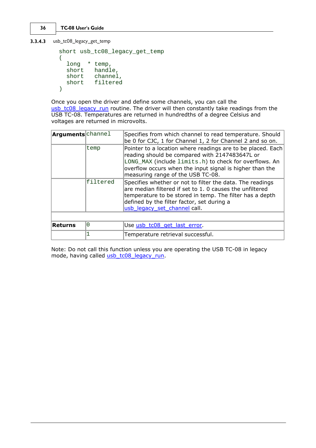<span id="page-39-0"></span>**3.3.4.3** usb\_tc08\_legacy\_get\_temp

```
short usb_tc08_legacy_get_temp 
(long * temp,
 short handle,
 short channel,
 short filtered
)
```
Once you open the driver and define some channels, you can call the usb tc08 legacy run routine. The driver will then constantly take readings from the USB TC-08. Temperatures are returned in hundredths of a degree Celsius and voltages are returned in microvolts.

| <b>Arguments</b> channel |          | Specifies from which channel to read temperature. Should<br>be 0 for CJC, 1 for Channel 1, 2 for Channel 2 and so on.                                                                                                                                                    |
|--------------------------|----------|--------------------------------------------------------------------------------------------------------------------------------------------------------------------------------------------------------------------------------------------------------------------------|
|                          | temp     | Pointer to a location where readings are to be placed. Each<br>reading should be compared with 2147483647L or<br>LONG_MAX (include limits.h) to check for overflows. An<br>overflow occurs when the input signal is higher than the<br>measuring range of the USB TC-08. |
|                          | filtered | Specifies whether or not to filter the data. The readings<br>are median filtered if set to 1. 0 causes the unfiltered<br>temperature to be stored in temp. The filter has a depth<br>defined by the filter factor, set during a<br>usb legacy set channel call.          |
|                          |          |                                                                                                                                                                                                                                                                          |
| Returns                  | 0        | Use usb tc08 get last error.                                                                                                                                                                                                                                             |
|                          |          | Temperature retrieval successful.                                                                                                                                                                                                                                        |
|                          |          |                                                                                                                                                                                                                                                                          |

Note: Do not call this function unless you are operating the USB TC-08 in legacy mode, having called [usb\\_tc08\\_legacy\\_run](#page-37-0).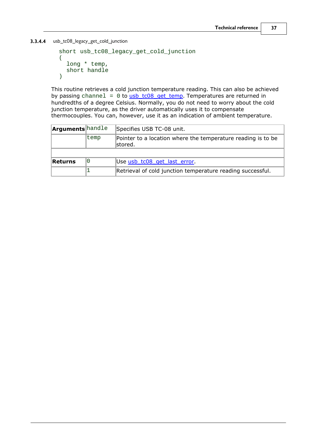<span id="page-40-0"></span>**3.3.4.4** usb\_tc08\_legacy\_get\_cold\_junction

```
short usb_tc08_legacy_get_cold_junction 
(long * temp,
 short handle
)
```
This routine retrieves a cold junction temperature reading. This can also be achieved by passing channel =  $0$  to [usb\\_tc08\\_get\\_temp](#page-35-0). Temperatures are returned in hundredths of a degree Celsius. Normally, you do not need to worry about the cold junction temperature, as the driver automatically uses it to compensate thermocouples. You can, however, use it as an indication of ambient temperature.

| <b>Arguments</b> handle |      | Specifies USB TC-08 unit.                                                |
|-------------------------|------|--------------------------------------------------------------------------|
|                         | temp | Pointer to a location where the temperature reading is to be<br>lstored. |
|                         |      |                                                                          |
| Returns                 | O    | Use usb tc08 get last error.                                             |
|                         |      | Retrieval of cold junction temperature reading successful.               |
|                         |      |                                                                          |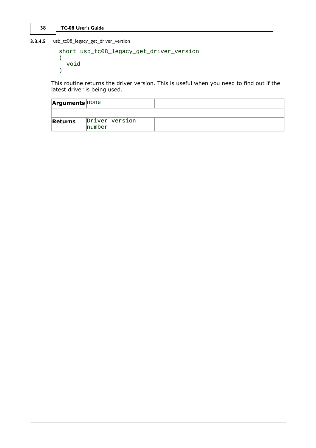<span id="page-41-0"></span>**3.3.4.5** usb\_tc08\_legacy\_get\_driver\_version

```
short usb_tc08_legacy_get_driver_version 
(void
)
```
This routine returns the driver version. This is useful when you need to find out if the latest driver is being used.

| <b>Arguments</b> none |                           |  |
|-----------------------|---------------------------|--|
|                       |                           |  |
| Returns               | Driver version<br>Inumber |  |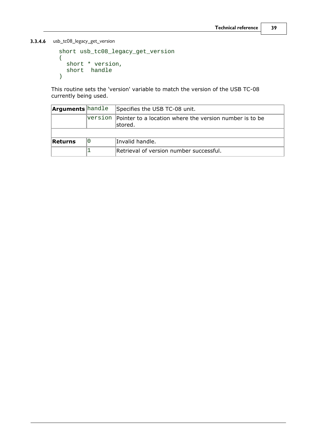<span id="page-42-0"></span>**3.3.4.6** usb\_tc08\_legacy\_get\_version

```
short usb_tc08_legacy_get_version 
(short * version,
 short handle
)
```
This routine sets the 'version' variable to match the version of the USB TC-08 currently being used.

| <b>Arguments</b> handle |    | Specifies the USB TC-08 unit.                                               |
|-------------------------|----|-----------------------------------------------------------------------------|
|                         |    | version Pointer to a location where the version number is to be<br>lstored. |
|                         |    |                                                                             |
| Returns                 | 10 | Invalid handle.                                                             |
|                         |    | Retrieval of version number successful.                                     |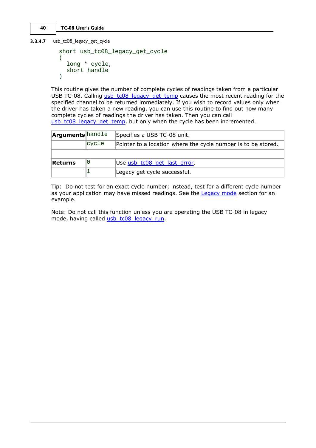<span id="page-43-0"></span>**3.3.4.7** usb\_tc08\_legacy\_get\_cycle

```
short usb_tc08_legacy_get_cycle 
(long * cycle,
 short handle
)
```
This routine gives the number of complete cycles of readings taken from a particular USB TC-08. Calling [usb\\_tc08\\_legacy\\_get\\_temp](#page-39-0) causes the most recent reading for the specified channel to be returned immediately. If you wish to record values only when the driver has taken a new reading, you can use this routine to find out how many complete cycles of readings the driver has taken. Then you can call [usb\\_tc08\\_legacy\\_get\\_temp,](#page-39-0) but only when the cycle has been incremented.

| <b>Arguments</b> handle |       | Specifies a USB TC-08 unit.                                   |
|-------------------------|-------|---------------------------------------------------------------|
|                         | cycle | Pointer to a location where the cycle number is to be stored. |
|                         |       |                                                               |
|                         |       |                                                               |
| Returns                 |       | Use usb_tc08_get_last_error.                                  |

Tip: Do not test for an exact cycle number; instead, test for a different cycle number as your application may have missed readings. See the [Legacy mode](#page-15-0) section for an example.

Note: Do not call this function unless you are operating the USB TC-08 in legacy mode, having called usb tc08 legacy run.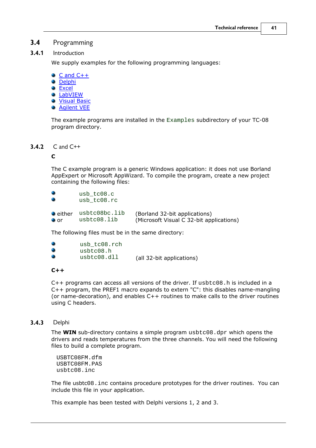#### <span id="page-44-0"></span>**3.4** Programming

**3.4.1** Introduction

We supply examples for the following programming languages:

- $\bullet$  [C and C++](#page-44-1) **O** [Delphi](#page-44-2) **[Excel](#page-45-0)**
- **[LabVIEW](#page-45-1)**
- **Wisual Basic**
- [Agilent VEE](#page-45-3)

The example programs are installed in the Examples subdirectory of your TC-08 program directory.

#### <span id="page-44-1"></span>**3.4.2** C and C++

#### **C**

The C example program is a generic Windows application: it does not use Borland AppExpert or Microsoft AppWizard. To compile the program, create a new project containing the following files:

| 0                | usb tc08.c<br>usb tc08.rc |                                          |  |
|------------------|---------------------------|------------------------------------------|--|
| $\bullet$ either | usbtc08bc.lib             | (Borland 32-bit applications)            |  |
| $\bullet$ or     | usbtc08.lib               | (Microsoft Visual C 32-bit applications) |  |

The following files must be in the same directory:

| 0 | usb tc08.rch |                           |
|---|--------------|---------------------------|
| 0 | usbtc08.h    |                           |
| 0 | usbtc08.dll  | (all 32-bit applications) |

#### **C++**

 $C++$  programs can access all versions of the driver. If usbtc08.h is included in a C++ program, the PREF1 macro expands to extern "C": this disables name-mangling (or name-decoration), and enables C++ routines to make calls to the driver routines using C headers.

#### <span id="page-44-2"></span>**3.4.3** Delphi

The **WIN** sub-directory contains a simple program usbtc08.dpr which opens the drivers and reads temperatures from the three channels. You will need the following files to build a complete program.

USBTC08FM.dfm USBTC08FM.PAS usbtc08.inc

The file usbtc08.inc contains procedure prototypes for the driver routines. You can include this file in your application.

This example has been tested with Delphi versions 1, 2 and 3.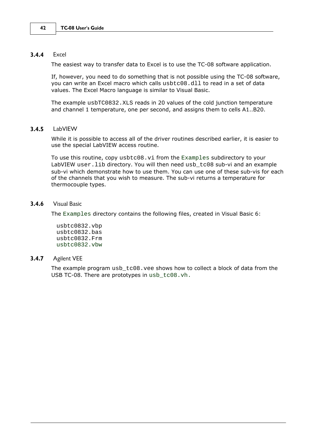#### <span id="page-45-0"></span>**3.4.4** Excel

The easiest way to transfer data to Excel is to use the TC-08 software application.

If, however, you need to do something that is not possible using the TC-08 software, you can write an Excel macro which calls usbtc08.dll to read in a set of data values. The Excel Macro language is similar to Visual Basic.

The example usbTC0832.XLS reads in 20 values of the cold junction temperature and channel 1 temperature, one per second, and assigns them to cells A1..B20.

#### <span id="page-45-1"></span>**3.4.5** LabVIEW

While it is possible to access all of the driver routines described earlier, it is easier to use the special LabVIEW access routine.

To use this routine,  $copy$  usbtc08.  $vi$  from the Examples subdirectory to your LabVIEW user.lib directory. You will then need usb\_tc08 sub-vi and an example sub-vi which demonstrate how to use them. You can use one of these sub-vis for each of the channels that you wish to measure. The sub-vi returns a temperature for thermocouple types.

#### <span id="page-45-2"></span>**3.4.6** Visual Basic

The Examples directory contains the following files, created in Visual Basic 6:

usbtc0832.vbp usbtc0832.bas usbtc0832.Frm usbtc0832.vbw

#### <span id="page-45-3"></span>**3.4.7** Agilent VEE

The example program usb\_tc08.vee shows how to collect a block of data from the USB TC-08. There are prototypes in usb\_tc08.vh.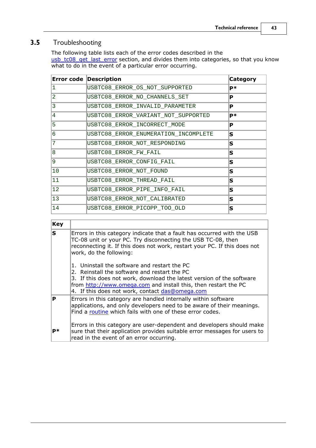### <span id="page-46-0"></span>**3.5** Troubleshooting

The following table lists each of the error codes described in the usb tc08 get last error section, and divides them into categories, so that you know what to do in the event of a particular error occurring.

| <b>Error code Description</b> |                                      | <b>Category</b> |  |
|-------------------------------|--------------------------------------|-----------------|--|
|                               | USBTC08_ERROR_OS_NOT_SUPPORTED       |                 |  |
| 2                             | USBTC08_ERROR_NO_CHANNELS_SET        | P               |  |
| 3                             | USBTC08_ERROR_INVALID_PARAMETER      | P               |  |
| 4                             | USBTC08_ERROR_VARIANT_NOT_SUPPORTED  | <b>P</b> *      |  |
| 5                             | USBTC08_ERROR_INCORRECT_MODE         | P               |  |
| 6                             | USBTC08 ERROR ENUMERATION INCOMPLETE | lS              |  |
| 7                             | USBTC08_ERROR_NOT_RESPONDING         | lS              |  |
| $\overline{8}$                | USBTC08_ERROR_FW_FAIL                | ls              |  |
| 9                             | USBTC08_ERROR_CONFIG_FAIL            | lS              |  |
| 10                            | USBTC08_ERROR_NOT_FOUND              | lS              |  |
| 11                            | USBTC08_ERROR_THREAD_FAIL            | lS              |  |
| 12                            | USBTC08_ERROR_PIPE_INFO_FAIL         | lS              |  |
| 13                            | USBTC08_ERROR_NOT_CALIBRATED         | S               |  |
| 14                            | USBTC08 ERROR PICOPP TOO OLD         | lS              |  |

| <b>Key</b> |                                                                                                                                                                                                                                                                                             |
|------------|---------------------------------------------------------------------------------------------------------------------------------------------------------------------------------------------------------------------------------------------------------------------------------------------|
| lS         | Errors in this category indicate that a fault has occurred with the USB<br>TC-08 unit or your PC. Try disconnecting the USB TC-08, then<br>reconnecting it. If this does not work, restart your PC. If this does not<br>work, do the following:                                             |
|            | 1. Uninstall the software and restart the PC<br>2. Reinstall the software and restart the PC<br>3. If this does not work, download the latest version of the software<br>from http://www.omega.com and install this, then restart the PC<br>4. If this does not work, contact das@omega.com |
| P          | Errors in this category are handled internally within software<br>applications, and only developers need to be aware of their meanings.<br>Find a routine which fails with one of these error codes.                                                                                        |
| <b>P</b> * | Errors in this category are user-dependent and developers should make<br>sure that their application provides suitable error messages for users to<br>read in the event of an error occurring.                                                                                              |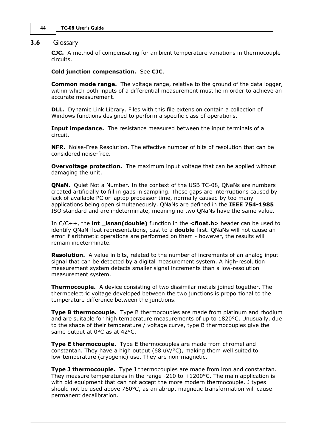#### <span id="page-47-0"></span>**3.6** Glossary

**CJC.** A method of compensating for ambient temperature variations in thermocouple circuits.

#### **Cold junction compensation.** See **CJC**.

**Common mode range.** The voltage range, relative to the ground of the data logger, within which both inputs of a differential measurement must lie in order to achieve an accurate measurement.

**DLL.** Dynamic Link Library. Files with this file extension contain a collection of Windows functions designed to perform a specific class of operations.

**Input impedance.** The resistance measured between the input terminals of a circuit.

**NFR.** Noise-Free Resolution. The effective number of bits of resolution that can be considered noise-free.

**Overvoltage protection.** The maximum input voltage that can be applied without damaging the unit.

**ONaN.** Ouiet Not a Number. In the context of the USB TC-08, ONaNs are numbers created artificially to fill in gaps in sampling. These gaps are interruptions caused by lack of available PC or laptop processor time, normally caused by too many applications being open simultaneously. QNaNs are defined in the **IEEE 754-1985** ISO standard and are indeterminate, meaning no two QNaNs have the same value.

In C/C++, the **int \_isnan(double)** function in the **<float.h>** header can be used to identify QNaN float representations, cast to a **double** first. QNaNs will not cause an error if arithmetic operations are performed on them - however, the results will remain indeterminate.

**Resolution.** A value in bits, related to the number of increments of an analog input signal that can be detected by a digital measurement system. A high-resolution measurement system detects smaller signal increments than a low-resolution measurement system.

**Thermocouple.** A device consisting of two dissimilar metals joined together. The thermoelectric voltage developed between the two junctions is proportional to the temperature difference between the junctions.

**Type B thermocouple.** Type B thermocouples are made from platinum and rhodium and are suitable for high temperature measurements of up to 1820°C. Unusually, due to the shape of their temperature / voltage curve, type B thermocouples give the same output at 0°C as at 42°C.

**Type E thermocouple.** Type E thermocouples are made from chromel and constantan. They have a high output (68 uV/ $\degree$ C), making them well suited to low-temperature (cryogenic) use. They are non-magnetic.

**Type J thermocouple.** Type J thermocouples are made from iron and constantan. They measure temperatures in the range  $-210$  to  $+1200$  °C. The main application is with old equipment that can not accept the more modern thermocouple. J types should not be used above 760°C, as an abrupt magnetic transformation will cause permanent decalibration.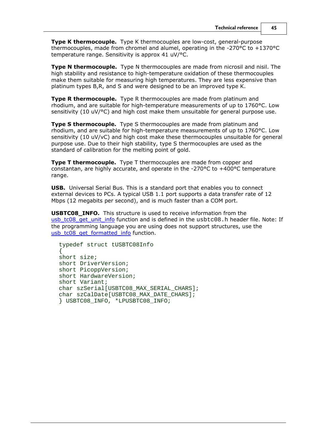**Type K thermocouple.** Type K thermocouples are low-cost, general-purpose thermocouples, made from chromel and alumel, operating in the -270°C to +1370°C temperature range. Sensitivity is approx 41 uV/°C.

**Type N thermocouple.** Type N thermocouples are made from nicrosil and nisil. The high stability and resistance to high-temperature oxidation of these thermocouples make them suitable for measuring high temperatures. They are less expensive than platinum types B,R, and S and were designed to be an improved type K.

**Type R thermocouple.** Type R thermocouples are made from platinum and rhodium, and are suitable for high-temperature measurements of up to 1760°C. Low sensitivity (10 uV/°C) and high cost make them unsuitable for general purpose use.

**Type S thermocouple.** Type S thermocouples are made from platinum and rhodium, and are suitable for high-temperature measurements of up to 1760°C. Low sensitivity (10 uV/vC) and high cost make these thermocouples unsuitable for general purpose use. Due to their high stability, type S thermocouples are used as the standard of calibration for the melting point of gold.

**Type T thermocouple.** Type T thermocouples are made from copper and constantan, are highly accurate, and operate in the -270 $\degree$ C to +400 $\degree$ C temperature range.

**USB.** Universal Serial Bus. This is a standard port that enables you to connect external devices to PCs. A typical USB 1.1 port supports a data transfer rate of 12 Mbps (12 megabits per second), and is much faster than a COM port.

**USBTC08\_INFO.** This structure is used to receive information from the usb tc08 get unit info function and is defined in the usbtc08.h header file. Note: If the programming language you are using does not support structures, use the [usb\\_tc08\\_get\\_formatted\\_info](#page-29-0) function.

```
typedef struct tUSBTC08Info
\{short size;
short DriverVersion;
short PicoppVersion;
short HardwareVersion;
short Variant;
char szSerial[USBTC08 MAX SERIAL CHARS];
char szCalDate[USBTC08 MAX DATE CHARS];
} USBTC08_INFO, *LPUSBTC08_INFO;
```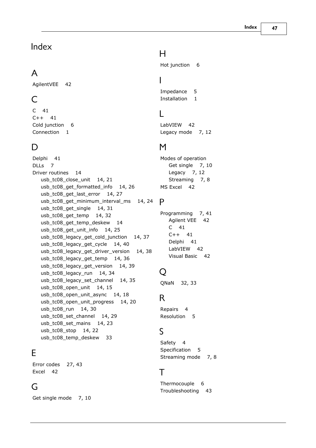### Index

### A

AgilentVEE 42

### C<sub>2</sub> C<sub>2</sub>

C 41 C++ 41 Cold junction 6 Connection 1

### D<sub>a</sub>

Delphi 41 DLLs 7 Driver routines 14 usb\_tc08\_close\_unit 14, 21 usb\_tc08\_get\_formatted\_info 14, 26 usb\_tc08\_get\_last\_error 14, 27 usb\_tc08\_get\_minimum\_interval\_ms 14, 24 P usb\_tc08\_get\_single 14, 31 usb\_tc08\_get\_temp 14, 32 usb\_tc08\_get\_temp\_deskew 14 usb\_tc08\_get\_unit\_info 14, 25 usb\_tc08\_legacy\_get\_cold\_junction 14, 37 usb\_tc08\_legacy\_get\_cycle 14, 40 usb\_tc08\_legacy\_get\_driver\_version 14, 38 usb\_tc08\_legacy\_get\_temp 14, 36 usb\_tc08\_legacy\_get\_version 14, 39 usb\_tc08\_legacy\_run  $14, 34$   $Q$ usb\_tc08\_legacy\_set\_channel 14, 35 usb\_tc08\_open\_unit 14, 15 usb\_tc08\_open\_unit\_async 14, 18 usb\_tc08\_open\_unit\_progress 14, 20 usb\_tc08\_run 14, 30 usb\_tc08\_set\_channel 14, 29 usb\_tc08\_set\_mains 14, 23 usb\_tc08\_stop 14, 22 usb\_tc08\_temp\_deskew 33

### E<sub>ra</sub> et al. (1995)

Error codes 27, 43 Excel 42

### G

Get single mode 7, 10

### H

Hot junction 6

### **I** and the set

Impedance 5 Installation 1

### L

LabVIEW 42 Legacy mode 7, 12

### M

Modes of operation Get single 7, 10 Legacy 7, 12 Streaming 7, 8 MS Excel 42

### P<sub>art</sub>

Programming 7, 41 Agilent VEE 42 C 41 C++ 41 Delphi 41 LabVIEW 42 Visual Basic 42

### Q

32, 33

### R<sub>and</sub>

Repairs 4 Resolution 5

### S<sub>s</sub> and the set of  $\sim$

Safety 4 Specification 5 Streaming mode 7, 8

### T<sub>2</sub> T<sub>2</sub>

Thermocouple 6 Troubleshooting 43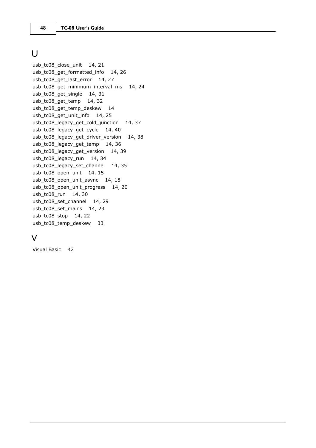### U **U**

usb\_tc08\_close\_unit 14, 21 usb\_tc08\_get\_formatted\_info 14, 26 usb\_tc08\_get\_last\_error 14, 27 usb\_tc08\_get\_minimum\_interval\_ms 14, 24 usb\_tc08\_get\_single 14, 31 usb\_tc08\_get\_temp 14, 32 usb\_tc08\_get\_temp\_deskew 14 usb\_tc08\_get\_unit\_info 14, 25 usb\_tc08\_legacy\_get\_cold\_junction 14, 37 usb\_tc08\_legacy\_get\_cycle 14, 40 usb\_tc08\_legacy\_get\_driver\_version 14, 38 usb\_tc08\_legacy\_get\_temp 14, 36 usb\_tc08\_legacy\_get\_version 14, 39 usb\_tc08\_legacy\_run 14, 34 usb\_tc08\_legacy\_set\_channel 14, 35 usb\_tc08\_open\_unit 14, 15 usb\_tc08\_open\_unit\_async 14, 18 usb\_tc08\_open\_unit\_progress 14, 20 usb\_tc08\_run 14, 30 usb\_tc08\_set\_channel 14, 29 usb\_tc08\_set\_mains 14, 23 usb\_tc08\_stop 14, 22 usb\_tc08\_temp\_deskew 33

### V

Visual Basic 42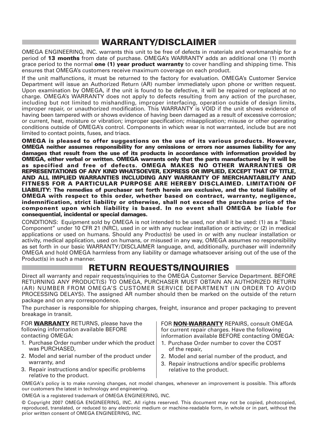### **WARRANTY/DISCLAIMER**

OMEGA ENGINEERING, INC. warrants this unit to be free of defects in materials and workmanship for a period of **13 months** from date of purchase. OMEGA's WARRANTY adds an additional one (1) month grace period to the normal **one (1) year product warranty** to cover handling and shipping time. This ensures that OMEGA's customers receive maximum coverage on each product.

If the unit malfunctions, it must be returned to the factory for evaluation. OMEGA's Customer Service Department will issue an Authorized Return (AR) number immediately upon phone or written request. Upon examination by OMEGA, if the unit is found to be defective, it will be repaired or replaced at no charge. OMEGA's WARRANTY does not apply to defects resulting from any action of the purchaser, including but not limited to mishandling, improper interfacing, operation outside of design limits, improper repair, or unauthorized modification. This WARRANTY is VOID if the unit shows evidence of having been tampered with or shows evidence of having been damaged as a result of excessive corrosion; or current, heat, moisture or vibration; improper specification; misapplication; misuse or other operating conditions outside of OMEGA's control. Components in which wear is not warranted, include but are not limited to contact points, fuses, and triacs.

**OMEGA is pleased to offer suggestions on the use of its various products. However, OMEGA neither assumes responsibility for any omissions or errors nor assumes liability for any damages that result from the use of its products in accordance with information provided by OMEGA, either verbal or written. OMEGA warrants only that the parts manufactured by it will be as specified and free of defects. OMEGA MAKES NO OTHER WARRANTIES OR REPRESENTATIONS OF ANY KIND WHATSOEVER, EXPRESS OR IMPLIED, EXCEPT THAT OF TITLE, AND ALL IMPLIED WARRANTIES INCLUDING ANY WARRANTY OF MERCHANTABILITY AND FITNESS FOR A PARTICULAR PURPOSE ARE HEREBY DISCLAIMED. LIMITATION OF LIABILITY: The remedies of purchaser set forth herein are exclusive, and the total liability of OMEGA with respect to this order, whether based on contract, warranty, negligence, indemnification, strict liability or otherwise, shall not exceed the purchase price of the component upon which liability is based. In no event shall OMEGA be liable for consequential, incidental or special damages.**

CONDITIONS: Equipment sold by OMEGA is not intended to be used, nor shall it be used: (1) as a "Basic Component" under 10 CFR 21 (NRC), used in or with any nuclear installation or activity; or (2) in medical applications or used on humans. Should any Product(s) be used in or with any nuclear installation or activity, medical application, used on humans, or misused in any way, OMEGA assumes no responsibility as set forth in our basic WARRANTY/DISCLAIMER language, and, additionally, purchaser will indemnify OMEGA and hold OMEGA harmless from any liability or damage whatsoever arising out of the use of the Product(s) in such a manner.

### **RETURN REQUESTS/INQUIRIES**

Direct all warranty and repair requests/inquiries to the OMEGA Customer Service Department. BEFORE RETURNING ANY PRODUCT(S) TO OMEGA, PURCHASER MUST OBTAIN AN AUTHORIZED RETURN (AR) NUMBER FROM OMEGA'S CUSTOMER SERVICE DEPARTMENT (IN ORDER TO AVOID PROCESSING DELAYS). The assigned AR number should then be marked on the outside of the return package and on any correspondence.

The purchaser is responsible for shipping charges, freight, insurance and proper packaging to prevent breakage in transit.

FOR **WARRANTY** RETURNS, please have the following information available BEFORE contacting OMEGA:

- 1. Purchase Order number under which the product was PURCHASED,
- 2. Model and serial number of the product under warranty, and
- 3. Repair instructions and/or specific problems relative to the product.

FOR **NON-WARRANTY** REPAIRS, consult OMEGA for current repair charges. Have the following information available BEFORE contacting OMEGA:

- 1. Purchase Order number to cover the COST of the repair,
- 2. Model and serial number of the product, and
- 3. Repair instructions and/or specific problems relative to the product.

OMEGA's policy is to make running changes, not model changes, whenever an improvement is possible. This affords our customers the latest in technology and engineering.

OMEGA is a registered trademark of OMEGA ENGINEERING, INC.

© Copyright 2007 OMEGA ENGINEERING, INC. All rights reserved. This document may not be copied, photocopied, reproduced, translated, or reduced to any electronic medium or machine-readable form, in whole or in part, without the prior written consent of OMEGA ENGINEERING, INC.